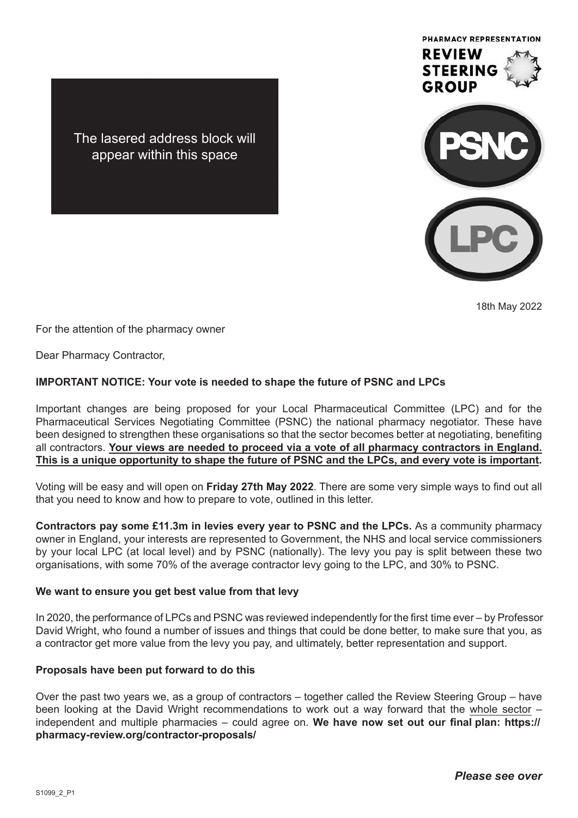

18th May 2022

The lasered address block will appear within this space

For the attention of the pharmacy owner

Dear Pharmacy Contractor,

## **IMPORTANT NOTICE: Your vote is needed to shape the future of PSNC and LPCs**

Important changes are being proposed for your Local Pharmaceutical Committee (LPC) and for the Pharmaceutical Services Negotiating Committee (PSNC) the national pharmacy negotiator. These have been designed to strengthen these organisations so that the sector becomes better at negotiating, benefiting all contractors. **Your views are needed to proceed via a vote of all pharmacy contractors in England. This is a unique opportunity to shape the future of PSNC and the LPCs, and every vote is important.**

Voting will be easy and will open on **Friday 27th May 2022**. There are some very simple ways to find out all that you need to know and how to prepare to vote, outlined in this letter.

**Contractors pay some £11.3m in levies every year to PSNC and the LPCs.** As a community pharmacy owner in England, your interests are represented to Government, the NHS and local service commissioners by your local LPC (at local level) and by PSNC (nationally). The levy you pay is split between these two organisations, with some 70% of the average contractor levy going to the LPC, and 30% to PSNC.

## **We want to ensure you get best value from that levy**

In 2020, the performance of LPCs and PSNC was reviewed independently for the first time ever – by Professor David Wright, who found a number of issues and things that could be done better, to make sure that you, as a contractor get more value from the levy you pay, and ultimately, better representation and support.

#### **Proposals have been put forward to do this**

Over the past two years we, as a group of contractors – together called the Review Steering Group – have been looking at the David Wright recommendations to work out a way forward that the whole sector – independent and multiple pharmacies – could agree on. **We have now set out our final plan: https:// pharmacy-review.org/contractor-proposals/**